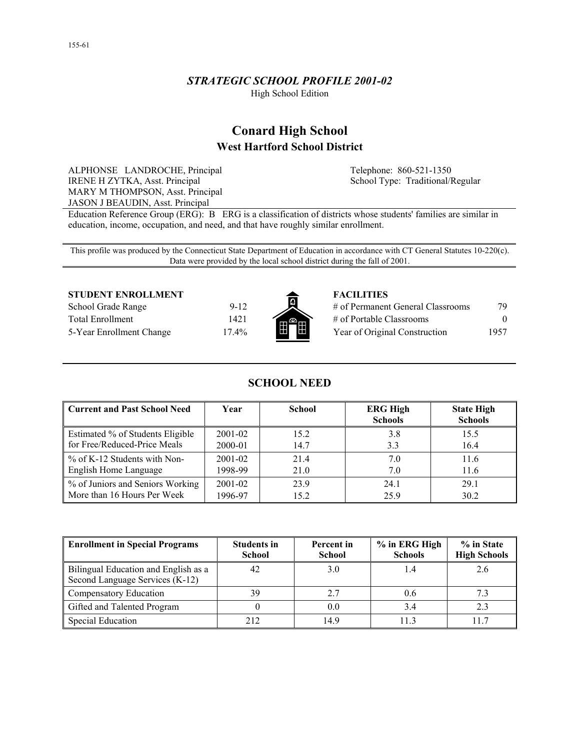## *STRATEGIC SCHOOL PROFILE 2001-02*

High School Edition

# **Conard High School West Hartford School District**

ALPHONSE LANDROCHE, Principal IRENE H ZYTKA, Asst. Principal MARY M THOMPSON, Asst. Principal JASON J BEAUDIN, Asst. Principal

Telephone: 860-521-1350 School Type: Traditional/Regular

Education Reference Group (ERG): B ERG is a classification of districts whose students' families are similar in education, income, occupation, and need, and that have roughly similar enrollment.

This profile was produced by the Connecticut State Department of Education in accordance with CT General Statutes 10-220(c). Data were provided by the local school district during the fall of 2001.

#### **STUDENT ENROLLMENT FACILITIES**

School Grade Range 9-12 Total Enrollment 1421 5-Year Enrollment Change 17.4%



| # of Permanent General Classrooms | 79       |
|-----------------------------------|----------|
| # of Portable Classrooms          | $\Omega$ |
| Year of Original Construction     | 1957     |

## **SCHOOL NEED**

| Current and Past School Need            | Year        | <b>School</b> | <b>ERG High</b><br><b>Schools</b> | <b>State High</b><br><b>Schools</b> |
|-----------------------------------------|-------------|---------------|-----------------------------------|-------------------------------------|
| <b>Estimated % of Students Eligible</b> | $2001 - 02$ | 15.2          | 3.8                               | 15.5                                |
| for Free/Reduced-Price Meals            | 2000-01     | 14.7          | 3.3                               | 16.4                                |
| % of K-12 Students with Non-            | $2001 - 02$ | 21.4          | 7.0                               | 11.6                                |
| English Home Language                   | 1998-99     | 21.0          | 7.0                               | 11.6                                |
| % of Juniors and Seniors Working        | $2001 - 02$ | 23.9          | 24.1                              | 29.1                                |
| More than 16 Hours Per Week             | 1996-97     | 15.2          | 25.9                              | 30.2                                |

| <b>Enrollment in Special Programs</b>                                   | <b>Students in</b><br><b>School</b> | Percent in<br><b>School</b> | % in ERG High<br><b>Schools</b> | % in State<br><b>High Schools</b> |
|-------------------------------------------------------------------------|-------------------------------------|-----------------------------|---------------------------------|-----------------------------------|
| Bilingual Education and English as a<br>Second Language Services (K-12) | 42                                  | 3.0                         |                                 | 2.6                               |
| Compensatory Education                                                  | 39                                  | 2.7                         | 0.6                             |                                   |
| Gifted and Talented Program                                             |                                     | 0.0                         | 3.4                             |                                   |
| Special Education                                                       | 212                                 | 14.9                        |                                 |                                   |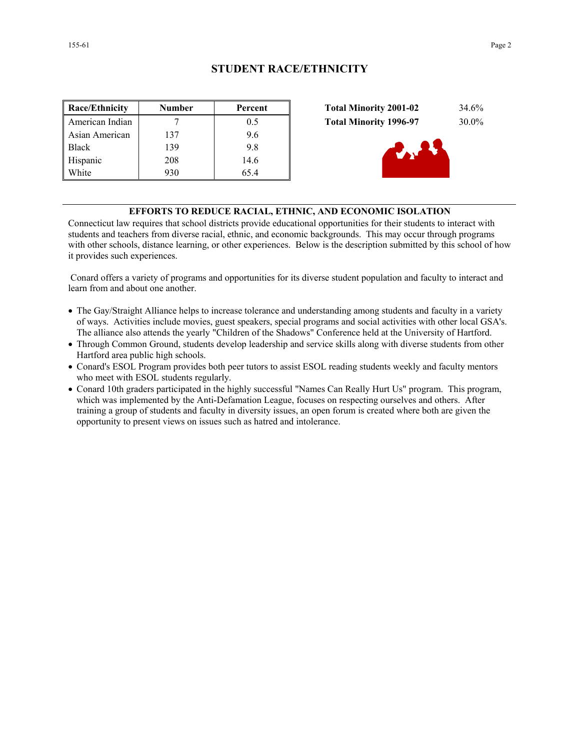| <b>Race/Ethnicity</b> | <b>Number</b> | Percent |
|-----------------------|---------------|---------|
| American Indian       |               | 0.5     |
| Asian American        | 137           | 9.6     |
| <b>Black</b>          | 139           | 9.8     |
| Hispanic              | 208           | 14.6    |
| White                 | 930           | 65.4    |



## **EFFORTS TO REDUCE RACIAL, ETHNIC, AND ECONOMIC ISOLATION**

Connecticut law requires that school districts provide educational opportunities for their students to interact with students and teachers from diverse racial, ethnic, and economic backgrounds. This may occur through programs with other schools, distance learning, or other experiences. Below is the description submitted by this school of how it provides such experiences.

 Conard offers a variety of programs and opportunities for its diverse student population and faculty to interact and learn from and about one another.

- The Gay/Straight Alliance helps to increase tolerance and understanding among students and faculty in a variety of ways. Activities include movies, guest speakers, special programs and social activities with other local GSA's. The alliance also attends the yearly "Children of the Shadows" Conference held at the University of Hartford.
- Through Common Ground, students develop leadership and service skills along with diverse students from other Hartford area public high schools.
- Conard's ESOL Program provides both peer tutors to assist ESOL reading students weekly and faculty mentors who meet with ESOL students regularly.
- Conard 10th graders participated in the highly successful "Names Can Really Hurt Us" program. This program, which was implemented by the Anti-Defamation League, focuses on respecting ourselves and others. After training a group of students and faculty in diversity issues, an open forum is created where both are given the opportunity to present views on issues such as hatred and intolerance.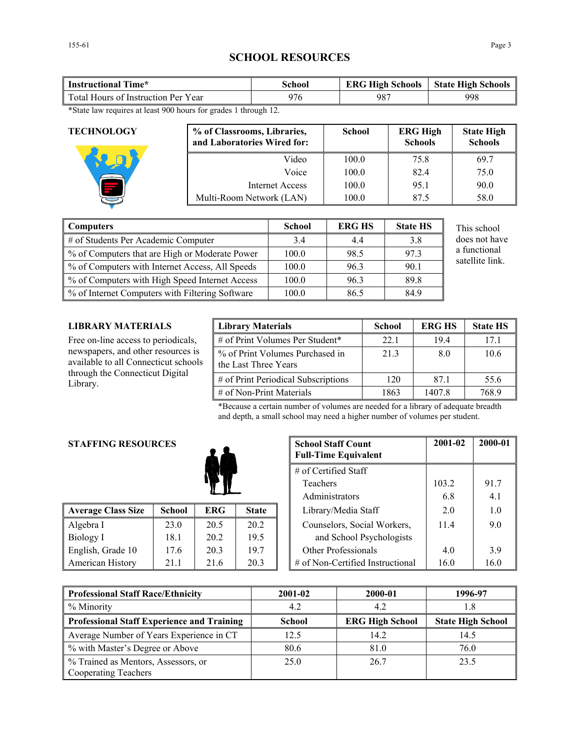# **SCHOOL RESOURCES**

| 998<br>Total Hours of Instruction Per Year | <b>Instructional Time*</b> | School | <b>ERG High Schools</b> | <b>State High Schools</b> |
|--------------------------------------------|----------------------------|--------|-------------------------|---------------------------|
|                                            |                            |        |                         |                           |

\*State law requires at least 900 hours for grades 1 through 12.

| <b>TECHNOLOGY</b> | % of Classrooms, Libraries,<br>and Laboratories Wired for: | <b>School</b> | <b>ERG High</b><br><b>Schools</b> | <b>State High</b><br><b>Schools</b> |
|-------------------|------------------------------------------------------------|---------------|-----------------------------------|-------------------------------------|
|                   | Video                                                      | 100.0         | 75.8                              | 69.7                                |
|                   | Voice                                                      | 100.0         | 82.4                              | 75.0                                |
|                   | <b>Internet Access</b>                                     | 100.0         | 95.1                              | 90.0                                |
|                   | Multi-Room Network (LAN)                                   | 100.0         | 87.5                              | 58.0                                |

| Computers                                         | <b>School</b> | <b>ERG HS</b> | <b>State HS</b> | This school     |
|---------------------------------------------------|---------------|---------------|-----------------|-----------------|
| $\parallel$ # of Students Per Academic Computer   | 3.4           | 4.4           | 3.8             | does not have   |
| ■ % of Computers that are High or Moderate Power  | 100.0         | 98.5          | 97.3            | a functional    |
| % of Computers with Internet Access, All Speeds   | 100.0         | 96.3          | 90.1            | satellite link. |
| ■ % of Computers with High Speed Internet Access  | 100.0         | 96.3          | 89.8            |                 |
| ■ % of Internet Computers with Filtering Software | 100.0         | 86.5          | 84.9            |                 |

## **LIBRARY MATERIALS**

Free on-line access to periodicals, newspapers, and other resources is available to all Connecticut schools through the Connecticut Digital Library.

| <b>Library Materials</b>                                | <b>School</b> | <b>ERG HS</b> | <b>State HS</b> |
|---------------------------------------------------------|---------------|---------------|-----------------|
| # of Print Volumes Per Student*                         | 22.1          | 194           | 17 1            |
| % of Print Volumes Purchased in<br>the Last Three Years | 213           | 80            | 10.6            |
| # of Print Periodical Subscriptions                     | 120           | 871           | 55.6            |
| $\#$ of Non-Print Materials                             | 1863          | 1407.8        | 768 9           |

\*Because a certain number of volumes are needed for a library of adequate breadth and depth, a small school may need a higher number of volumes per student.

## **STAFFING RESOURCES**

| <b>Average Class Size</b> | <b>School</b> | ERG- | <b>State</b> | Library/Media Staff<br>2.0               | 1.0  |
|---------------------------|---------------|------|--------------|------------------------------------------|------|
| Algebra I                 | 23.0          | 20.5 | 20.2         | Counselors, Social Workers,<br>114       | 9.0  |
| Biology I                 | 18.1          | 20.2 | 19.5         | and School Psychologists                 |      |
| English, Grade 10         | 17.6          | 20.3 | 19.7         | Other Professionals<br>4.0               | 39   |
| American History          | 21.1          | 21.6 | 20.3         | # of Non-Certified Instructional<br>16.0 | 16.0 |

| <b>STAFFING RESOURCES</b> |               | <b>School Staff Count</b><br><b>Full-Time Equivalent</b> |              |  | 2001-02                          | 2000-01 |      |
|---------------------------|---------------|----------------------------------------------------------|--------------|--|----------------------------------|---------|------|
|                           |               |                                                          |              |  | # of Certified Staff             |         |      |
|                           |               |                                                          |              |  | Teachers                         | 103.2   | 91.7 |
|                           |               |                                                          |              |  | Administrators                   | 6.8     | 4.1  |
| <b>Average Class Size</b> | <b>School</b> | <b>ERG</b>                                               | <b>State</b> |  | Library/Media Staff              | 2.0     | 1.0  |
| Algebra I                 | 23.0          | 20.5                                                     | 20.2         |  | Counselors, Social Workers,      | 114     | 9.0  |
| Biology I                 | 18.1          | 20.2                                                     | 19.5         |  | and School Psychologists         |         |      |
| English, Grade 10         | 17.6          | 20.3                                                     | 19.7         |  | Other Professionals              | 4.0     | 3.9  |
| <b>American History</b>   | 21.1          | 21.6                                                     | 20.3         |  | # of Non-Certified Instructional | 16.0    | 16.0 |

| <b>Professional Staff Race/Ethnicity</b>                    | 2001-02       | 2000-01                | 1996-97                  |
|-------------------------------------------------------------|---------------|------------------------|--------------------------|
| % Minority                                                  | 4.2           | 4.2                    | !.8                      |
| <b>Professional Staff Experience and Training</b>           | <b>School</b> | <b>ERG High School</b> | <b>State High School</b> |
| Average Number of Years Experience in CT                    | 12.5          | 14.2                   | 14.5                     |
| % with Master's Degree or Above                             | 80.6          | 81.0                   | 76.0                     |
| % Trained as Mentors, Assessors, or<br>Cooperating Teachers | 25.0          | 26.7                   | 23.5                     |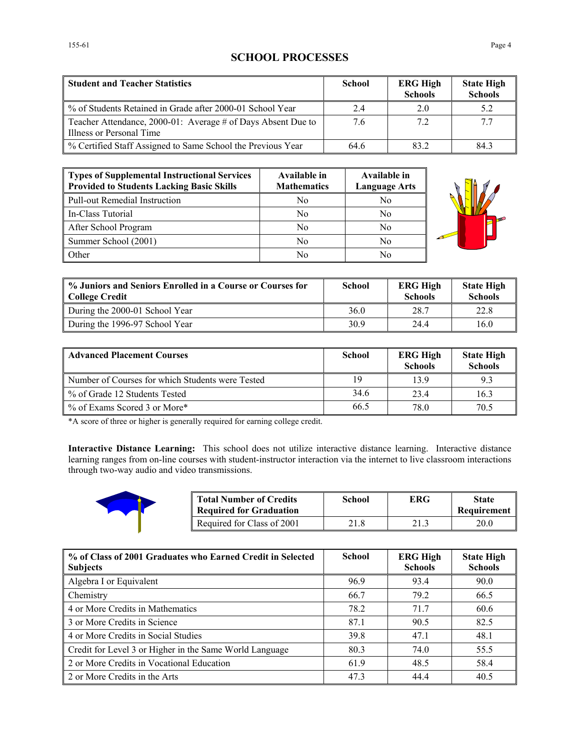# **SCHOOL PROCESSES**

| <b>Student and Teacher Statistics</b>                                                    | <b>School</b> | <b>ERG High</b><br><b>Schools</b> | <b>State High</b><br><b>Schools</b> |
|------------------------------------------------------------------------------------------|---------------|-----------------------------------|-------------------------------------|
| % of Students Retained in Grade after 2000-01 School Year                                | 2.4           | 2.0                               | 5.2                                 |
| Teacher Attendance, 2000-01: Average # of Days Absent Due to<br>Illness or Personal Time | 7.6           | 7.2                               | 7.7                                 |
| % Certified Staff Assigned to Same School the Previous Year                              | 64.6          | 832                               | 84.3                                |

| Types of Supplemental Instructional Services<br>Provided to Students Lacking Basic Skills | Available in<br><b>Mathematics</b> | Available in<br><b>Language Arts</b> |
|-------------------------------------------------------------------------------------------|------------------------------------|--------------------------------------|
| Pull-out Remedial Instruction                                                             | N0                                 | No                                   |
| In-Class Tutorial                                                                         | No                                 | No                                   |
| After School Program                                                                      | No                                 | No                                   |
| Summer School (2001)                                                                      | No                                 | No                                   |
| <b>Other</b>                                                                              | No                                 | No                                   |



| % Juniors and Seniors Enrolled in a Course or Courses for<br>College Credit | <b>School</b> | <b>ERG High</b><br><b>Schools</b> | <b>State High</b><br><b>Schools</b> |
|-----------------------------------------------------------------------------|---------------|-----------------------------------|-------------------------------------|
| During the 2000-01 School Year                                              | 36.0          | 28.7                              | 22.8                                |
| During the 1996-97 School Year                                              | 30.9          | 244                               | 16.0                                |

| <b>Advanced Placement Courses</b>                | <b>School</b> | <b>ERG High</b><br><b>Schools</b> | <b>State High</b><br><b>Schools</b> |
|--------------------------------------------------|---------------|-----------------------------------|-------------------------------------|
| Number of Courses for which Students were Tested | 19            | 139                               | 9.3                                 |
| % of Grade 12 Students Tested                    | 34.6          | 234                               | 16.3                                |
| % of Exams Scored 3 or More*                     | 66.5          | 78 <sub>0</sub>                   | 70.5                                |

\*A score of three or higher is generally required for earning college credit.

**Interactive Distance Learning:** This school does not utilize interactive distance learning. Interactive distance learning ranges from on-line courses with student-instructor interaction via the internet to live classroom interactions through two-way audio and video transmissions.



| <b>Total Number of Credits</b><br>Required for Graduation | School | ERG  | <b>State</b><br>Requirement |
|-----------------------------------------------------------|--------|------|-----------------------------|
| Required for Class of 2001                                | 21.8   | 21.3 | 20.0                        |

| % of Class of 2001 Graduates who Earned Credit in Selected<br><b>Subjects</b> | <b>School</b> | <b>ERG High</b><br><b>Schools</b> | <b>State High</b><br><b>Schools</b> |
|-------------------------------------------------------------------------------|---------------|-----------------------------------|-------------------------------------|
| Algebra I or Equivalent                                                       | 96.9          | 93.4                              | 90.0                                |
| <b>Chemistry</b>                                                              | 66.7          | 79.2                              | 66.5                                |
| 4 or More Credits in Mathematics                                              | 78.2          | 71.7                              | 60.6                                |
| 3 or More Credits in Science                                                  | 87.1          | 90.5                              | 82.5                                |
| 4 or More Credits in Social Studies                                           | 39.8          | 47.1                              | 48.1                                |
| Credit for Level 3 or Higher in the Same World Language                       | 80.3          | 74.0                              | 55.5                                |
| 2 or More Credits in Vocational Education                                     | 61.9          | 48.5                              | 58.4                                |
| 2 or More Credits in the Arts                                                 | 47.3          | 444                               | 40.5                                |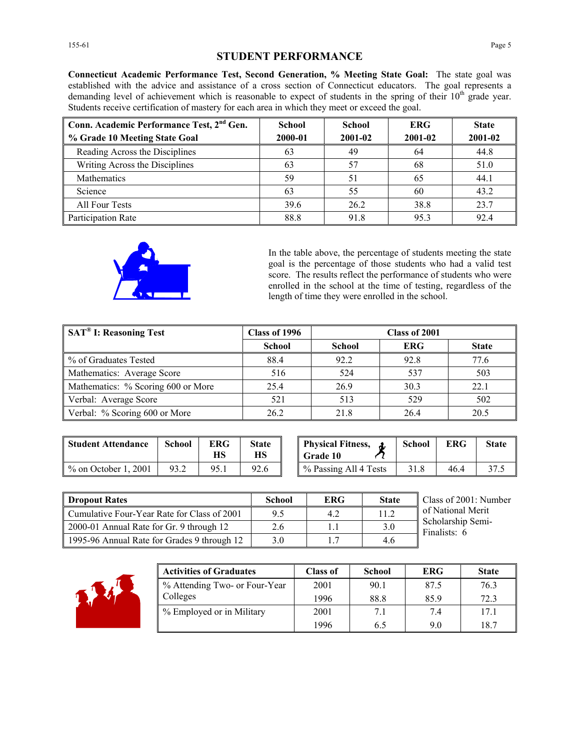## **STUDENT PERFORMANCE**

**Connecticut Academic Performance Test, Second Generation, % Meeting State Goal:** The state goal was established with the advice and assistance of a cross section of Connecticut educators. The goal represents a demanding level of achievement which is reasonable to expect of students in the spring of their 10<sup>th</sup> grade year. Students receive certification of mastery for each area in which they meet or exceed the goal.

| Conn. Academic Performance Test, 2 <sup>nd</sup> Gen.<br>% Grade 10 Meeting State Goal | School<br>2000-01 | <b>School</b><br>2001-02 | <b>ERG</b><br>2001-02 | <b>State</b><br>2001-02 |
|----------------------------------------------------------------------------------------|-------------------|--------------------------|-----------------------|-------------------------|
| Reading Across the Disciplines                                                         | 63                | 49                       | 64                    | 44.8                    |
| Writing Across the Disciplines                                                         | 63                | 57                       | 68                    | 51.0                    |
| Mathematics                                                                            | 59                |                          | 65                    | 44.1                    |
| Science                                                                                | 63                | 55                       | 60                    | 43.2                    |
| All Four Tests                                                                         | 39.6              | 26.2                     | 38.8                  | 23.7                    |
| Participation Rate                                                                     | 88.8              | 91.8                     | 953                   | 92.4                    |



In the table above, the percentage of students meeting the state goal is the percentage of those students who had a valid test score. The results reflect the performance of students who were enrolled in the school at the time of testing, regardless of the length of time they were enrolled in the school.

| SAT <sup>®</sup> I: Reasoning Test | Class of 1996 | Class of 2001 |            |              |
|------------------------------------|---------------|---------------|------------|--------------|
|                                    | <b>School</b> | <b>School</b> | <b>ERG</b> | <b>State</b> |
| % of Graduates Tested              | 88.4          | 92.2          | 92.8       | 77.6         |
| Mathematics: Average Score         | 516           | 524           | 537        | 503          |
| Mathematics: % Scoring 600 or More | 25.4          | 26.9          | 30.3       | 22.1         |
| Verbal: Average Score              | 521           | 513           | 529        | 502          |
| Verbal: % Scoring 600 or More      | 26.2          | 21.8          | 26.4       | 20.5         |

| <b>Student Attendance</b> | School | ERG<br>НS | <b>State</b><br>НS | <b>Physical Fitness,</b><br><b>Grade 10</b> | School | <b>ERG</b> | State |
|---------------------------|--------|-----------|--------------------|---------------------------------------------|--------|------------|-------|
| $\%$ on October 1, 2001   | 93.2   | 95.1      | 92.6               | % Passing All 4 Tests                       | 31.8   | 46.4       | 37.5  |

| <b>Physical Fitness,</b><br>l Grade 10 | <b>School</b> | ERG | <b>State</b> |
|----------------------------------------|---------------|-----|--------------|
| % Passing All 4 Tests                  | 31.8          | 464 |              |

| <b>Dropout Rates</b>                        | School | <b>ERG</b> | <b>State</b> | Class of 2001: Number             |
|---------------------------------------------|--------|------------|--------------|-----------------------------------|
| Cumulative Four-Year Rate for Class of 2001 | 9.5    | 4.2        | 11.2         | of National Merit                 |
| 2000-01 Annual Rate for Gr. 9 through 12    | 2.6    |            | 3.0          | Scholarship Semi-<br>Finalists: 6 |
| 1995-96 Annual Rate for Grades 9 through 12 | 3.0    |            | 4.6          |                                   |



| <b>Activities of Graduates</b> | <b>Class of</b> | <b>School</b> | <b>ERG</b> | <b>State</b> |
|--------------------------------|-----------------|---------------|------------|--------------|
| % Attending Two- or Four-Year  | 2001            | 90.1          | 87.5       | 76.3         |
| Colleges                       | 1996            | 88.8          | 85.9       | 72.3         |
| % Employed or in Military      | 2001            | 7.1           | 7.4        | 17.1         |
|                                | 1996            | 6.5           | 9.0        | 18.7         |